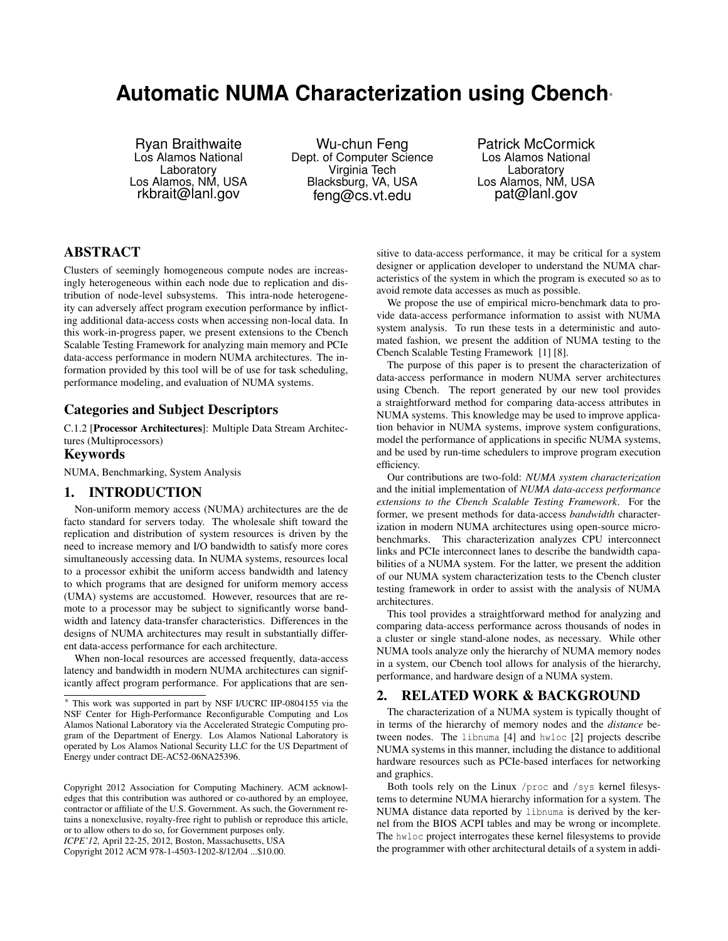# **Automatic NUMA Characterization using Cbench**<sup>∗</sup>

Ryan Braithwaite Los Alamos National Laboratory Los Alamos, NM, USA rkbrait@lanl.gov

Wu-chun Feng Dept. of Computer Science Virginia Tech Blacksburg, VA, USA feng@cs.vt.edu

Patrick McCormick Los Alamos National Laboratory Los Alamos, NM, USA pat@lanl.gov

# ABSTRACT

Clusters of seemingly homogeneous compute nodes are increasingly heterogeneous within each node due to replication and distribution of node-level subsystems. This intra-node heterogeneity can adversely affect program execution performance by inflicting additional data-access costs when accessing non-local data. In this work-in-progress paper, we present extensions to the Cbench Scalable Testing Framework for analyzing main memory and PCIe data-access performance in modern NUMA architectures. The information provided by this tool will be of use for task scheduling, performance modeling, and evaluation of NUMA systems.

#### Categories and Subject Descriptors

C.1.2 [Processor Architectures]: Multiple Data Stream Architectures (Multiprocessors)

#### Keywords

NUMA, Benchmarking, System Analysis

# 1. INTRODUCTION

Non-uniform memory access (NUMA) architectures are the de facto standard for servers today. The wholesale shift toward the replication and distribution of system resources is driven by the need to increase memory and I/O bandwidth to satisfy more cores simultaneously accessing data. In NUMA systems, resources local to a processor exhibit the uniform access bandwidth and latency to which programs that are designed for uniform memory access (UMA) systems are accustomed. However, resources that are remote to a processor may be subject to significantly worse bandwidth and latency data-transfer characteristics. Differences in the designs of NUMA architectures may result in substantially different data-access performance for each architecture.

When non-local resources are accessed frequently, data-access latency and bandwidth in modern NUMA architectures can significantly affect program performance. For applications that are sen-

Copyright 2012 ACM 978-1-4503-1202-8/12/04 ...\$10.00.

sitive to data-access performance, it may be critical for a system designer or application developer to understand the NUMA characteristics of the system in which the program is executed so as to avoid remote data accesses as much as possible.

We propose the use of empirical micro-benchmark data to provide data-access performance information to assist with NUMA system analysis. To run these tests in a deterministic and automated fashion, we present the addition of NUMA testing to the Cbench Scalable Testing Framework [1] [8].

The purpose of this paper is to present the characterization of data-access performance in modern NUMA server architectures using Cbench. The report generated by our new tool provides a straightforward method for comparing data-access attributes in NUMA systems. This knowledge may be used to improve application behavior in NUMA systems, improve system configurations, model the performance of applications in specific NUMA systems, and be used by run-time schedulers to improve program execution efficiency.

Our contributions are two-fold: *NUMA system characterization* and the initial implementation of *NUMA data-access performance extensions to the Cbench Scalable Testing Framework*. For the former, we present methods for data-access *bandwidth* characterization in modern NUMA architectures using open-source microbenchmarks. This characterization analyzes CPU interconnect links and PCIe interconnect lanes to describe the bandwidth capabilities of a NUMA system. For the latter, we present the addition of our NUMA system characterization tests to the Cbench cluster testing framework in order to assist with the analysis of NUMA architectures.

This tool provides a straightforward method for analyzing and comparing data-access performance across thousands of nodes in a cluster or single stand-alone nodes, as necessary. While other NUMA tools analyze only the hierarchy of NUMA memory nodes in a system, our Cbench tool allows for analysis of the hierarchy, performance, and hardware design of a NUMA system.

#### 2. RELATED WORK & BACKGROUND

The characterization of a NUMA system is typically thought of in terms of the hierarchy of memory nodes and the *distance* between nodes. The libnuma [4] and hwloc [2] projects describe NUMA systems in this manner, including the distance to additional hardware resources such as PCIe-based interfaces for networking and graphics.

Both tools rely on the Linux /proc and /sys kernel filesystems to determine NUMA hierarchy information for a system. The NUMA distance data reported by libnuma is derived by the kernel from the BIOS ACPI tables and may be wrong or incomplete. The hwloc project interrogates these kernel filesystems to provide the programmer with other architectural details of a system in addi-

<sup>∗</sup> This work was supported in part by NSF I/UCRC IIP-0804155 via the NSF Center for High-Performance Reconfigurable Computing and Los Alamos National Laboratory via the Accelerated Strategic Computing program of the Department of Energy. Los Alamos National Laboratory is operated by Los Alamos National Security LLC for the US Department of Energy under contract DE-AC52-06NA25396.

Copyright 2012 Association for Computing Machinery. ACM acknowledges that this contribution was authored or co-authored by an employee, contractor or affiliate of the U.S. Government. As such, the Government retains a nonexclusive, royalty-free right to publish or reproduce this article, or to allow others to do so, for Government purposes only. *ICPE'12,* April 22-25, 2012, Boston, Massachusetts, USA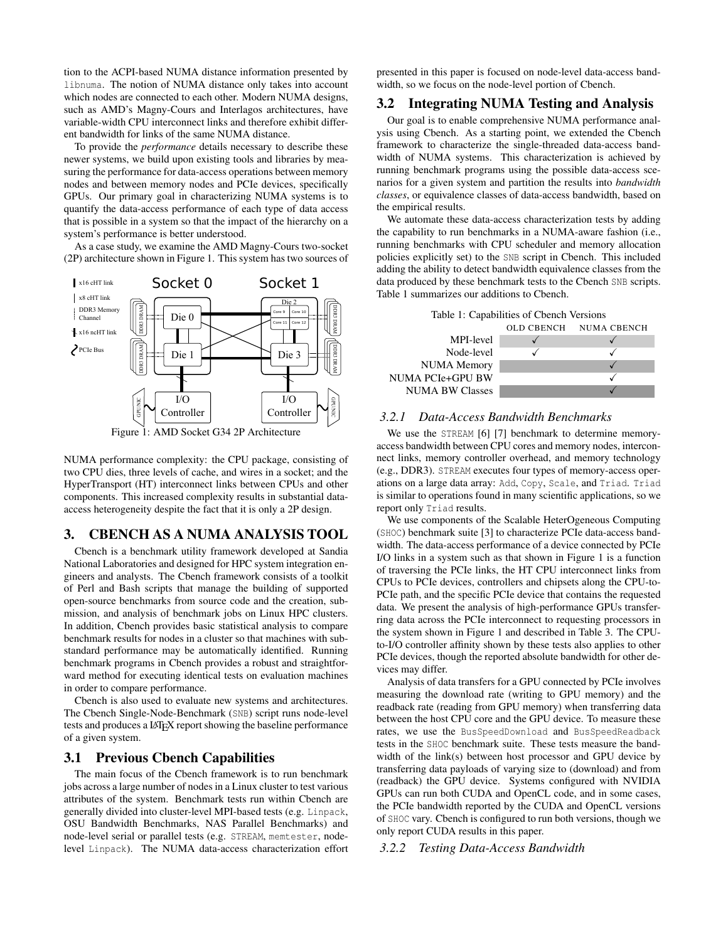tion to the ACPI-based NUMA distance information presented by libnuma. The notion of NUMA distance only takes into account which nodes are connected to each other. Modern NUMA designs, such as AMD's Magny-Cours and Interlagos architectures, have variable-width CPU interconnect links and therefore exhibit different bandwidth for links of the same NUMA distance.

To provide the *performance* details necessary to describe these newer systems, we build upon existing tools and libraries by measuring the performance for data-access operations between memory nodes and between memory nodes and PCIe devices, specifically GPUs. Our primary goal in characterizing NUMA systems is to quantify the data-access performance of each type of data access that is possible in a system so that the impact of the hierarchy on a system's performance is better understood.

As a case study, we examine the AMD Magny-Cours two-socket (2P) architecture shown in Figure 1. This system has two sources of



Figure 1: AMD Socket G34 2P Architecture

NUMA performance complexity: the CPU package, consisting of two CPU dies, three levels of cache, and wires in a socket; and the HyperTransport (HT) interconnect links between CPUs and other components. This increased complexity results in substantial dataaccess heterogeneity despite the fact that it is only a 2P design.

## 3. CBENCH AS A NUMA ANALYSIS TOOL

Cbench is a benchmark utility framework developed at Sandia National Laboratories and designed for HPC system integration engineers and analysts. The Cbench framework consists of a toolkit of Perl and Bash scripts that manage the building of supported open-source benchmarks from source code and the creation, submission, and analysis of benchmark jobs on Linux HPC clusters. In addition, Cbench provides basic statistical analysis to compare benchmark results for nodes in a cluster so that machines with substandard performance may be automatically identified. Running benchmark programs in Cbench provides a robust and straightforward method for executing identical tests on evaluation machines in order to compare performance.

Cbench is also used to evaluate new systems and architectures. The Cbench Single-Node-Benchmark (SNB) script runs node-level tests and produces a LAT<sub>E</sub>X report showing the baseline performance of a given system.

# 3.1 Previous Cbench Capabilities

The main focus of the Cbench framework is to run benchmark jobs across a large number of nodes in a Linux cluster to test various attributes of the system. Benchmark tests run within Cbench are generally divided into cluster-level MPI-based tests (e.g. Linpack, OSU Bandwidth Benchmarks, NAS Parallel Benchmarks) and node-level serial or parallel tests (e.g. STREAM, memtester, nodelevel Linpack). The NUMA data-access characterization effort

presented in this paper is focused on node-level data-access bandwidth, so we focus on the node-level portion of Cbench.

# 3.2 Integrating NUMA Testing and Analysis

Our goal is to enable comprehensive NUMA performance analysis using Cbench. As a starting point, we extended the Cbench framework to characterize the single-threaded data-access bandwidth of NUMA systems. This characterization is achieved by running benchmark programs using the possible data-access scenarios for a given system and partition the results into *bandwidth classes*, or equivalence classes of data-access bandwidth, based on the empirical results.

We automate these data-access characterization tests by adding the capability to run benchmarks in a NUMA-aware fashion (i.e., running benchmarks with CPU scheduler and memory allocation policies explicitly set) to the SNB script in Cbench. This included adding the ability to detect bandwidth equivalence classes from the data produced by these benchmark tests to the Cbench SNB scripts. Table 1 summarizes our additions to Cbench.



#### *3.2.1 Data-Access Bandwidth Benchmarks*

We use the STREAM [6] [7] benchmark to determine memoryaccess bandwidth between CPU cores and memory nodes, interconnect links, memory controller overhead, and memory technology (e.g., DDR3). STREAM executes four types of memory-access operations on a large data array: Add, Copy, Scale, and Triad. Triad is similar to operations found in many scientific applications, so we report only Triad results.

We use components of the Scalable HeterOgeneous Computing (SHOC) benchmark suite [3] to characterize PCIe data-access bandwidth. The data-access performance of a device connected by PCIe I/O links in a system such as that shown in Figure 1 is a function of traversing the PCIe links, the HT CPU interconnect links from CPUs to PCIe devices, controllers and chipsets along the CPU-to-PCIe path, and the specific PCIe device that contains the requested data. We present the analysis of high-performance GPUs transferring data across the PCIe interconnect to requesting processors in the system shown in Figure 1 and described in Table 3. The CPUto-I/O controller affinity shown by these tests also applies to other PCIe devices, though the reported absolute bandwidth for other devices may differ.

Analysis of data transfers for a GPU connected by PCIe involves measuring the download rate (writing to GPU memory) and the readback rate (reading from GPU memory) when transferring data between the host CPU core and the GPU device. To measure these rates, we use the BusSpeedDownload and BusSpeedReadback tests in the SHOC benchmark suite. These tests measure the bandwidth of the link(s) between host processor and GPU device by transferring data payloads of varying size to (download) and from (readback) the GPU device. Systems configured with NVIDIA GPUs can run both CUDA and OpenCL code, and in some cases, the PCIe bandwidth reported by the CUDA and OpenCL versions of SHOC vary. Cbench is configured to run both versions, though we only report CUDA results in this paper.

*3.2.2 Testing Data-Access Bandwidth*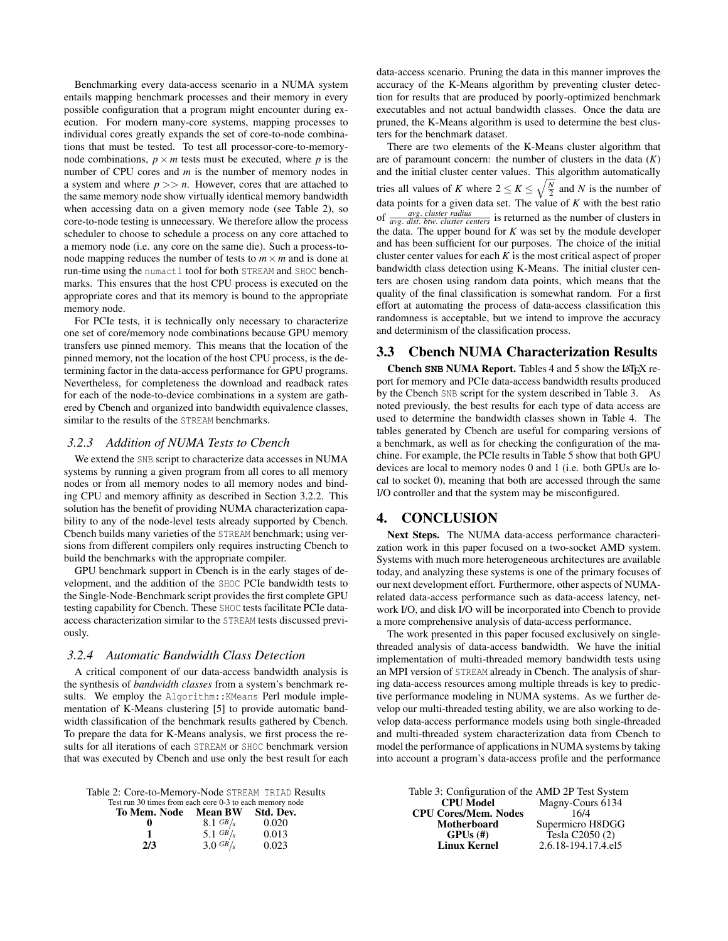Benchmarking every data-access scenario in a NUMA system entails mapping benchmark processes and their memory in every possible configuration that a program might encounter during execution. For modern many-core systems, mapping processes to individual cores greatly expands the set of core-to-node combinations that must be tested. To test all processor-core-to-memorynode combinations,  $p \times m$  tests must be executed, where  $p$  is the number of CPU cores and *m* is the number of memory nodes in a system and where  $p \gg n$ . However, cores that are attached to the same memory node show virtually identical memory bandwidth when accessing data on a given memory node (see Table 2), so core-to-node testing is unnecessary. We therefore allow the process scheduler to choose to schedule a process on any core attached to a memory node (i.e. any core on the same die). Such a process-tonode mapping reduces the number of tests to  $m \times m$  and is done at run-time using the numactl tool for both STREAM and SHOC benchmarks. This ensures that the host CPU process is executed on the appropriate cores and that its memory is bound to the appropriate memory node.

For PCIe tests, it is technically only necessary to characterize one set of core/memory node combinations because GPU memory transfers use pinned memory. This means that the location of the pinned memory, not the location of the host CPU process, is the determining factor in the data-access performance for GPU programs. Nevertheless, for completeness the download and readback rates for each of the node-to-device combinations in a system are gathered by Cbench and organized into bandwidth equivalence classes, similar to the results of the STREAM benchmarks.

#### *3.2.3 Addition of NUMA Tests to Cbench*

We extend the SNB script to characterize data accesses in NUMA systems by running a given program from all cores to all memory nodes or from all memory nodes to all memory nodes and binding CPU and memory affinity as described in Section 3.2.2. This solution has the benefit of providing NUMA characterization capability to any of the node-level tests already supported by Cbench. Cbench builds many varieties of the STREAM benchmark; using versions from different compilers only requires instructing Cbench to build the benchmarks with the appropriate compiler.

GPU benchmark support in Cbench is in the early stages of development, and the addition of the SHOC PCIe bandwidth tests to the Single-Node-Benchmark script provides the first complete GPU testing capability for Cbench. These SHOC tests facilitate PCIe dataaccess characterization similar to the STREAM tests discussed previously.

#### *3.2.4 Automatic Bandwidth Class Detection*

A critical component of our data-access bandwidth analysis is the synthesis of *bandwidth classes* from a system's benchmark results. We employ the Algorithm:: KMeans Perl module implementation of K-Means clustering [5] to provide automatic bandwidth classification of the benchmark results gathered by Cbench. To prepare the data for K-Means analysis, we first process the results for all iterations of each STREAM or SHOC benchmark version that was executed by Cbench and use only the best result for each

Table 2: Core-to-Memory-Node STREAM TRIAD Results

| st run 30 times from each core 0-3 to each memory no |            |       |  |  |  |  |
|------------------------------------------------------|------------|-------|--|--|--|--|
| To Mem. Node  Mean BW  Std. Dev.                     |            |       |  |  |  |  |
| 0                                                    | 8.1 $GB/s$ | 0.020 |  |  |  |  |
| 1                                                    | 5.1 $GB/s$ | 0.013 |  |  |  |  |
| 2/3                                                  | $3.0$ GB/s | 0.023 |  |  |  |  |

data-access scenario. Pruning the data in this manner improves the accuracy of the K-Means algorithm by preventing cluster detection for results that are produced by poorly-optimized benchmark executables and not actual bandwidth classes. Once the data are pruned, the K-Means algorithm is used to determine the best clusters for the benchmark dataset.

There are two elements of the K-Means cluster algorithm that are of paramount concern: the number of clusters in the data (*K*) and the initial cluster center values. This algorithm automatically tries all values of *K* where  $2 \le K \le \sqrt{\frac{N}{2}}$  and *N* is the number of data points for a given data set. The value of  $K$  with the best ratio of *avg*. *cluster radius avg*. *dist*. *btw*. *cluster centers* is returned as the number of clusters in the data. The upper bound for *K* was set by the module developer and has been sufficient for our purposes. The choice of the initial cluster center values for each *K* is the most critical aspect of proper bandwidth class detection using K-Means. The initial cluster centers are chosen using random data points, which means that the quality of the final classification is somewhat random. For a first effort at automating the process of data-access classification this randomness is acceptable, but we intend to improve the accuracy and determinism of the classification process.

#### 3.3 Cbench NUMA Characterization Results

Cbench SNB NUMA Report. Tables 4 and 5 show the LAT<sub>EX</sub> report for memory and PCIe data-access bandwidth results produced by the Cbench SNB script for the system described in Table 3. As noted previously, the best results for each type of data access are used to determine the bandwidth classes shown in Table 4. The tables generated by Cbench are useful for comparing versions of a benchmark, as well as for checking the configuration of the machine. For example, the PCIe results in Table 5 show that both GPU devices are local to memory nodes 0 and 1 (i.e. both GPUs are local to socket 0), meaning that both are accessed through the same I/O controller and that the system may be misconfigured.

## 4. CONCLUSION

Next Steps. The NUMA data-access performance characterization work in this paper focused on a two-socket AMD system. Systems with much more heterogeneous architectures are available today, and analyzing these systems is one of the primary focuses of our next development effort. Furthermore, other aspects of NUMArelated data-access performance such as data-access latency, network I/O, and disk I/O will be incorporated into Cbench to provide a more comprehensive analysis of data-access performance.

The work presented in this paper focused exclusively on singlethreaded analysis of data-access bandwidth. We have the initial implementation of multi-threaded memory bandwidth tests using an MPI version of STREAM already in Cbench. The analysis of sharing data-access resources among multiple threads is key to predictive performance modeling in NUMA systems. As we further develop our multi-threaded testing ability, we are also working to develop data-access performance models using both single-threaded and multi-threaded system characterization data from Cbench to model the performance of applications in NUMA systems by taking into account a program's data-access profile and the performance

| Table 3: Configuration of the AMD 2P Test System |                     |
|--------------------------------------------------|---------------------|
| <b>CPU Model</b>                                 | Magny-Cours 6134    |
| <b>CPU Cores/Mem. Nodes</b>                      | 16/4                |
| <b>Motherboard</b>                               | Supermicro H8DGG    |
| $GPUs$ $(\#)$                                    | Tesla C2050 (2)     |
| <b>Linux Kernel</b>                              | 2.6.18-194.17.4.el5 |